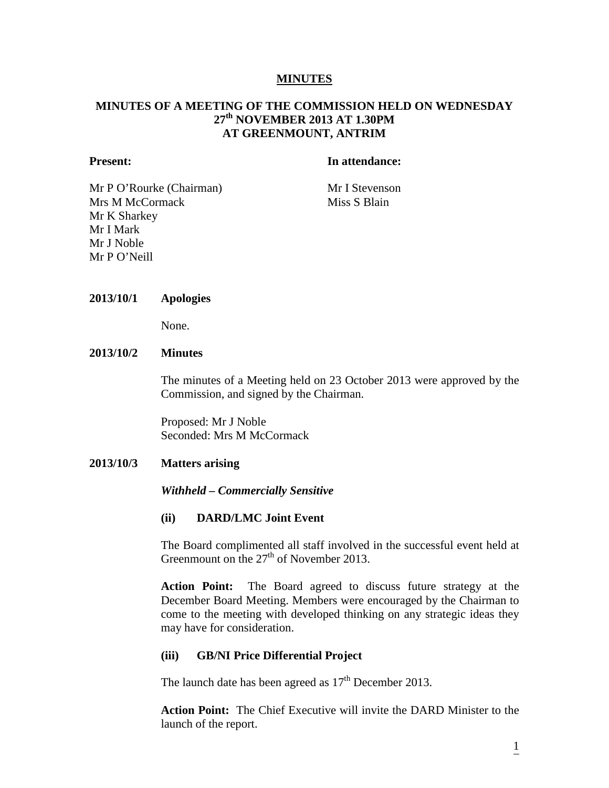#### **MINUTES**

## **MINUTES OF A MEETING OF THE COMMISSION HELD ON WEDNESDAY 27th NOVEMBER 2013 AT 1.30PM AT GREENMOUNT, ANTRIM**

#### **Present: In attendance:**

Mr P O'Rourke (Chairman) Mr I Stevenson Mrs M McCormack Miss S Blain Mr K Sharkey Mr I Mark Mr J Noble Mr P O'Neill

#### **2013/10/1 Apologies**

None.

#### **2013/10/2 Minutes**

The minutes of a Meeting held on 23 October 2013 were approved by the Commission, and signed by the Chairman.

Proposed: Mr J Noble Seconded: Mrs M McCormack

#### **2013/10/3 Matters arising**

#### *Withheld – Commercially Sensitive*

#### **(ii) DARD/LMC Joint Event**

The Board complimented all staff involved in the successful event held at Greenmount on the  $27<sup>th</sup>$  of November 2013.

**Action Point:** The Board agreed to discuss future strategy at the December Board Meeting. Members were encouraged by the Chairman to come to the meeting with developed thinking on any strategic ideas they may have for consideration.

#### **(iii) GB/NI Price Differential Project**

The launch date has been agreed as  $17<sup>th</sup>$  December 2013.

**Action Point:** The Chief Executive will invite the DARD Minister to the launch of the report.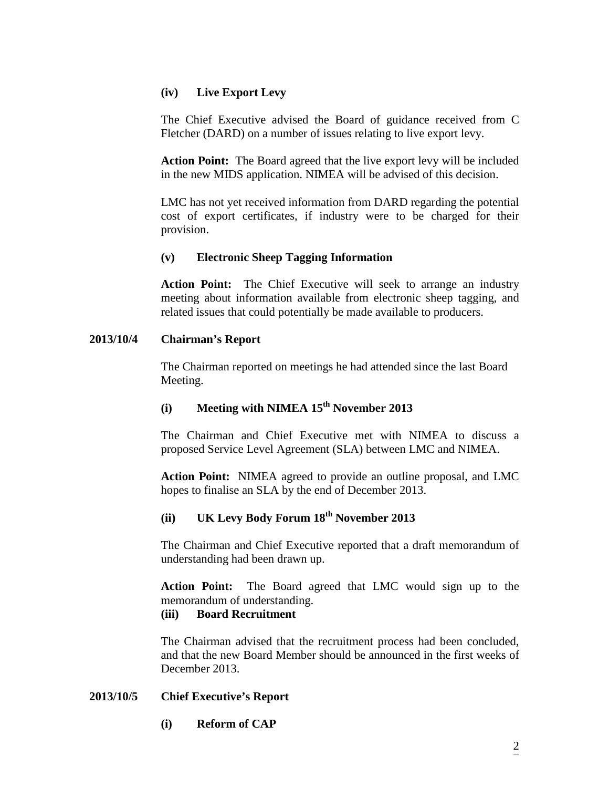## **(iv) Live Export Levy**

The Chief Executive advised the Board of guidance received from C Fletcher (DARD) on a number of issues relating to live export levy.

**Action Point:** The Board agreed that the live export levy will be included in the new MIDS application. NIMEA will be advised of this decision.

LMC has not yet received information from DARD regarding the potential cost of export certificates, if industry were to be charged for their provision.

## **(v) Electronic Sheep Tagging Information**

**Action Point:** The Chief Executive will seek to arrange an industry meeting about information available from electronic sheep tagging, and related issues that could potentially be made available to producers.

## **2013/10/4 Chairman's Report**

The Chairman reported on meetings he had attended since the last Board Meeting.

# **(i) Meeting with NIMEA 15th November 2013**

The Chairman and Chief Executive met with NIMEA to discuss a proposed Service Level Agreement (SLA) between LMC and NIMEA.

**Action Point:** NIMEA agreed to provide an outline proposal, and LMC hopes to finalise an SLA by the end of December 2013.

# **(ii) UK Levy Body Forum 18th November 2013**

The Chairman and Chief Executive reported that a draft memorandum of understanding had been drawn up.

**Action Point:** The Board agreed that LMC would sign up to the memorandum of understanding.

## **(iii) Board Recruitment**

The Chairman advised that the recruitment process had been concluded, and that the new Board Member should be announced in the first weeks of December 2013.

## **2013/10/5 Chief Executive's Report**

**(i) Reform of CAP**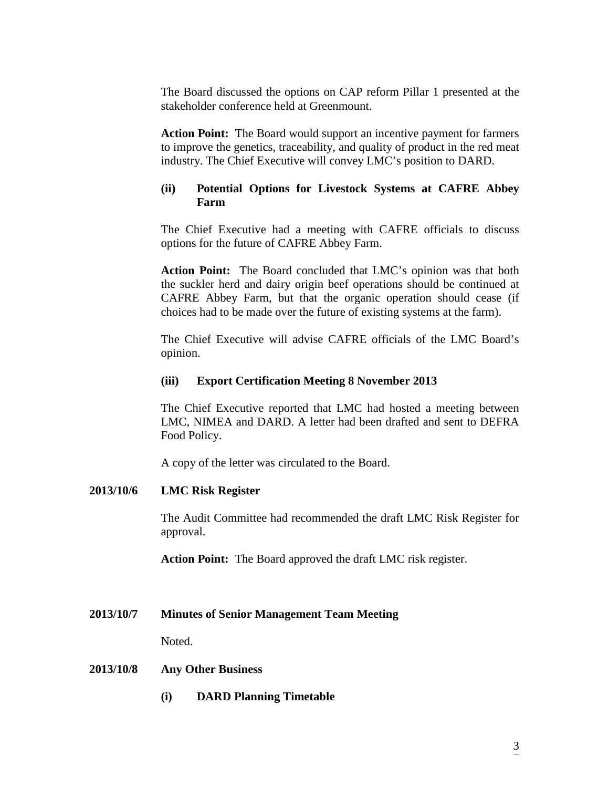The Board discussed the options on CAP reform Pillar 1 presented at the stakeholder conference held at Greenmount.

**Action Point:** The Board would support an incentive payment for farmers to improve the genetics, traceability, and quality of product in the red meat industry. The Chief Executive will convey LMC's position to DARD.

## **(ii) Potential Options for Livestock Systems at CAFRE Abbey Farm**

The Chief Executive had a meeting with CAFRE officials to discuss options for the future of CAFRE Abbey Farm.

**Action Point:** The Board concluded that LMC's opinion was that both the suckler herd and dairy origin beef operations should be continued at CAFRE Abbey Farm, but that the organic operation should cease (if choices had to be made over the future of existing systems at the farm).

The Chief Executive will advise CAFRE officials of the LMC Board's opinion.

## **(iii) Export Certification Meeting 8 November 2013**

The Chief Executive reported that LMC had hosted a meeting between LMC, NIMEA and DARD. A letter had been drafted and sent to DEFRA Food Policy.

A copy of the letter was circulated to the Board.

## **2013/10/6 LMC Risk Register**

The Audit Committee had recommended the draft LMC Risk Register for approval.

**Action Point:** The Board approved the draft LMC risk register.

**2013/10/7 Minutes of Senior Management Team Meeting**

Noted.

## **2013/10/8 Any Other Business**

**(i) DARD Planning Timetable**